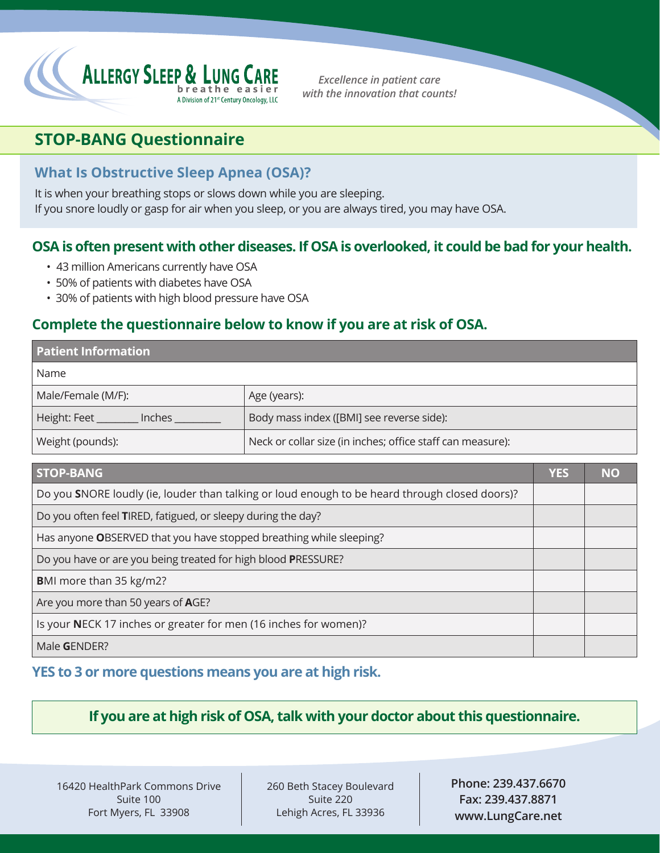

*Excellence in patient care with the innovation that counts!*

# **STOP-BANG Questionnaire**

## **What Is Obstructive Sleep Apnea (OSA)?**

It is when your breathing stops or slows down while you are sleeping. If you snore loudly or gasp for air when you sleep, or you are always tired, you may have OSA.

## **OSA is often present with other diseases. If OSA is overlooked, it could be bad for your health.**

- 43 million Americans currently have OSA
- 50% of patients with diabetes have OSA
- 30% of patients with high blood pressure have OSA

## **Complete the questionnaire below to know if you are at risk of OSA.**

| <b>Patient Information</b>                                                                     |            |           |  |  |  |  |  |  |  |  |  |
|------------------------------------------------------------------------------------------------|------------|-----------|--|--|--|--|--|--|--|--|--|
| Name                                                                                           |            |           |  |  |  |  |  |  |  |  |  |
| Male/Female (M/F):                                                                             |            |           |  |  |  |  |  |  |  |  |  |
| Height: Feet ________ Inches _                                                                 |            |           |  |  |  |  |  |  |  |  |  |
| Weight (pounds):                                                                               |            |           |  |  |  |  |  |  |  |  |  |
| <b>STOP-BANG</b>                                                                               | <b>YES</b> | <b>NO</b> |  |  |  |  |  |  |  |  |  |
| Do you SNORE loudly (ie, louder than talking or loud enough to be heard through closed doors)? |            |           |  |  |  |  |  |  |  |  |  |
| Do you often feel TIRED, fatigued, or sleepy during the day?                                   |            |           |  |  |  |  |  |  |  |  |  |
| Has anyone OBSERVED that you have stopped breathing while sleeping?                            |            |           |  |  |  |  |  |  |  |  |  |
| Do you have or are you being treated for high blood PRESSURE?                                  |            |           |  |  |  |  |  |  |  |  |  |
| <b>BMI</b> more than 35 kg/m2?                                                                 |            |           |  |  |  |  |  |  |  |  |  |
| Are you more than 50 years of AGE?                                                             |            |           |  |  |  |  |  |  |  |  |  |
| Is your NECK 17 inches or greater for men (16 inches for women)?                               |            |           |  |  |  |  |  |  |  |  |  |

Male **G**ENDER?

## **YES to 3 or more questions means you are at high risk.**

## **If you are at high risk of OSA, talk with your doctor about this questionnaire.**

16420 HealthPark Commons Drive Suite 100 Fort Myers, FL 33908

260 Beth Stacey Boulevard Suite 220 Lehigh Acres, FL 33936

**Phone: 239.437.6670 Fax: 239.437.8871 www.LungCare.net**